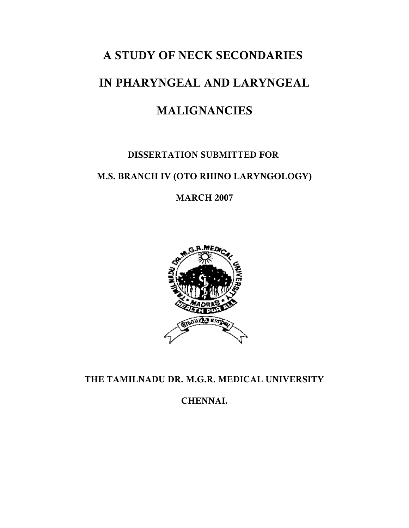# **A STUDY OF NECK SECONDARIES**

# **IN PHARYNGEAL AND LARYNGEAL**

# **MALIGNANCIES**

# **DISSERTATION SUBMITTED FOR**

# **M.S. BRANCH IV (OTO RHINO LARYNGOLOGY)**

**MARCH 2007**



**THE TAMILNADU DR. M.G.R. MEDICAL UNIVERSITY**

**CHENNAI.**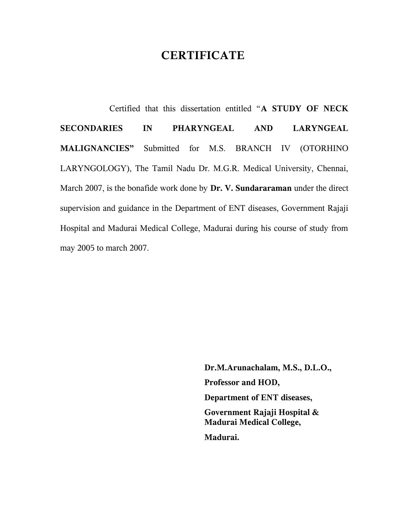# **CERTIFICATE**

 Certified that this dissertation entitled "**A STUDY OF NECK SECONDARIES IN PHARYNGEAL AND LARYNGEAL MALIGNANCIES"** Submitted for M.S. BRANCH IV (OTORHINO LARYNGOLOGY), The Tamil Nadu Dr. M.G.R. Medical University, Chennai, March 2007, is the bonafide work done by **Dr. V. Sundararaman** under the direct supervision and guidance in the Department of ENT diseases, Government Rajaji Hospital and Madurai Medical College, Madurai during his course of study from may 2005 to march 2007.

> **Dr.M.Arunachalam, M.S., D.L.O., Professor and HOD, Department of ENT diseases, Government Rajaji Hospital & Madurai Medical College, Madurai.**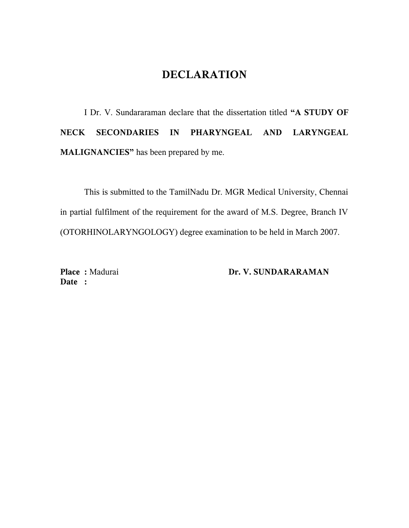# **DECLARATION**

I Dr. V. Sundararaman declare that the dissertation titled **"A STUDY OF NECK SECONDARIES IN PHARYNGEAL AND LARYNGEAL MALIGNANCIES"** has been prepared by me.

This is submitted to the TamilNadu Dr. MGR Medical University, Chennai in partial fulfilment of the requirement for the award of M.S. Degree, Branch IV (OTORHINOLARYNGOLOGY) degree examination to be held in March 2007.

**Date :** 

Place : Madurai **Dr. V. SUNDARARAMAN**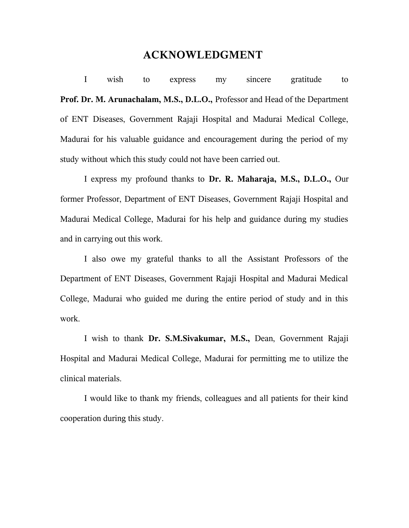## **ACKNOWLEDGMENT**

I wish to express my sincere gratitude to **Prof. Dr. M. Arunachalam, M.S., D.L.O.,** Professor and Head of the Department of ENT Diseases, Government Rajaji Hospital and Madurai Medical College, Madurai for his valuable guidance and encouragement during the period of my study without which this study could not have been carried out.

I express my profound thanks to **Dr. R. Maharaja, M.S., D.L.O.,** Our former Professor, Department of ENT Diseases, Government Rajaji Hospital and Madurai Medical College, Madurai for his help and guidance during my studies and in carrying out this work.

I also owe my grateful thanks to all the Assistant Professors of the Department of ENT Diseases, Government Rajaji Hospital and Madurai Medical College, Madurai who guided me during the entire period of study and in this work.

I wish to thank **Dr. S.M.Sivakumar, M.S.,** Dean, Government Rajaji Hospital and Madurai Medical College, Madurai for permitting me to utilize the clinical materials.

I would like to thank my friends, colleagues and all patients for their kind cooperation during this study.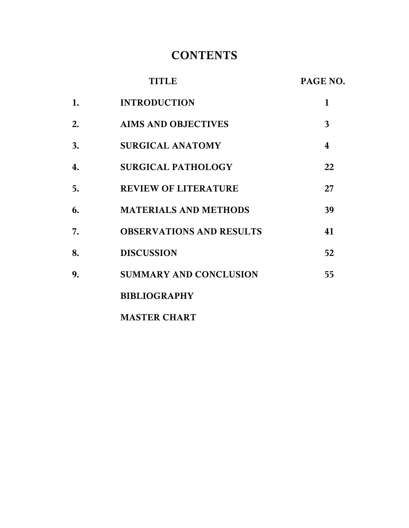# **CONTENTS**

|    | <b>TITLE</b>                    | PAGE NO. |
|----|---------------------------------|----------|
| 1. | <b>INTRODUCTION</b>             | 1        |
| 2. | <b>AIMS AND OBJECTIVES</b>      | 3        |
| 3. | <b>SURGICAL ANATOMY</b>         | 4        |
| 4. | <b>SURGICAL PATHOLOGY</b>       | 22       |
| 5. | <b>REVIEW OF LITERATURE</b>     | 27       |
| 6. | <b>MATERIALS AND METHODS</b>    | 39       |
| 7. | <b>OBSERVATIONS AND RESULTS</b> | 41       |
| 8. | <b>DISCUSSION</b>               | 52       |
| 9. | <b>SUMMARY AND CONCLUSION</b>   | 55       |
|    | <b>BIBLIOGRAPHY</b>             |          |
|    | <b>MASTER CHART</b>             |          |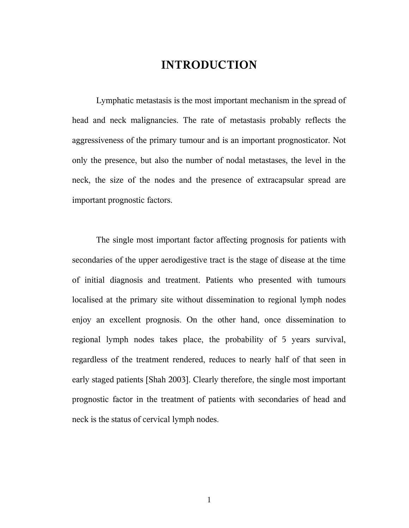# **INTRODUCTION**

Lymphatic metastasis is the most important mechanism in the spread of head and neck malignancies. The rate of metastasis probably reflects the aggressiveness of the primary tumour and is an important prognosticator. Not only the presence, but also the number of nodal metastases, the level in the neck, the size of the nodes and the presence of extracapsular spread are important prognostic factors.

The single most important factor affecting prognosis for patients with secondaries of the upper aerodigestive tract is the stage of disease at the time of initial diagnosis and treatment. Patients who presented with tumours localised at the primary site without dissemination to regional lymph nodes enjoy an excellent prognosis. On the other hand, once dissemination to regional lymph nodes takes place, the probability of 5 years survival, regardless of the treatment rendered, reduces to nearly half of that seen in early staged patients [Shah 2003]. Clearly therefore, the single most important prognostic factor in the treatment of patients with secondaries of head and neck is the status of cervical lymph nodes.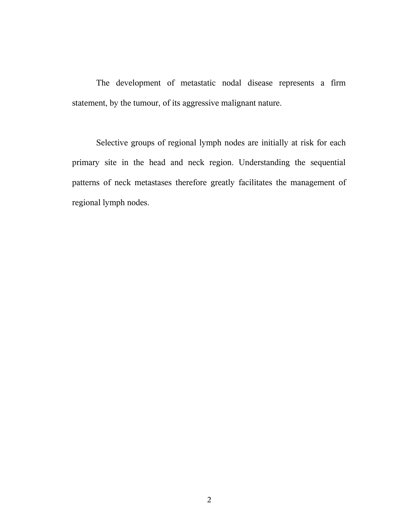The development of metastatic nodal disease represents a firm statement, by the tumour, of its aggressive malignant nature.

Selective groups of regional lymph nodes are initially at risk for each primary site in the head and neck region. Understanding the sequential patterns of neck metastases therefore greatly facilitates the management of regional lymph nodes.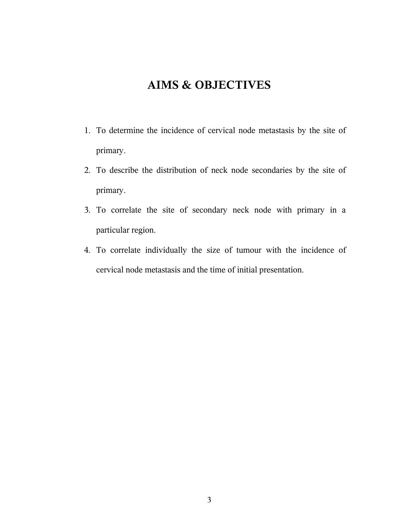# **AIMS & OBJECTIVES**

- 1. To determine the incidence of cervical node metastasis by the site of primary.
- 2. To describe the distribution of neck node secondaries by the site of primary.
- 3. To correlate the site of secondary neck node with primary in a particular region.
- 4. To correlate individually the size of tumour with the incidence of cervical node metastasis and the time of initial presentation.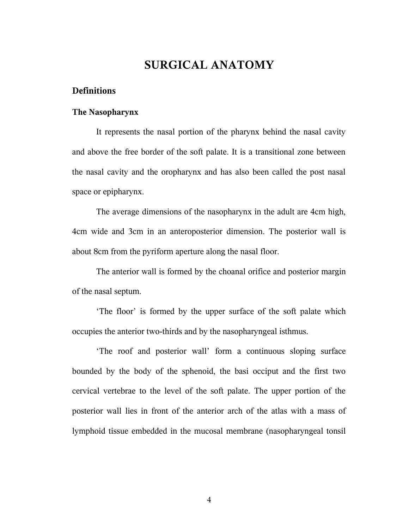# **SURGICAL ANATOMY**

#### **Definitions**

#### **The Nasopharynx**

It represents the nasal portion of the pharynx behind the nasal cavity and above the free border of the soft palate. It is a transitional zone between the nasal cavity and the oropharynx and has also been called the post nasal space or epipharynx.

The average dimensions of the nasopharynx in the adult are 4cm high, 4cm wide and 3cm in an anteroposterior dimension. The posterior wall is about 8cm from the pyriform aperture along the nasal floor.

The anterior wall is formed by the choanal orifice and posterior margin of the nasal septum.

'The floor' is formed by the upper surface of the soft palate which occupies the anterior two-thirds and by the nasopharyngeal isthmus.

'The roof and posterior wall' form a continuous sloping surface bounded by the body of the sphenoid, the basi occiput and the first two cervical vertebrae to the level of the soft palate. The upper portion of the posterior wall lies in front of the anterior arch of the atlas with a mass of lymphoid tissue embedded in the mucosal membrane (nasopharyngeal tonsil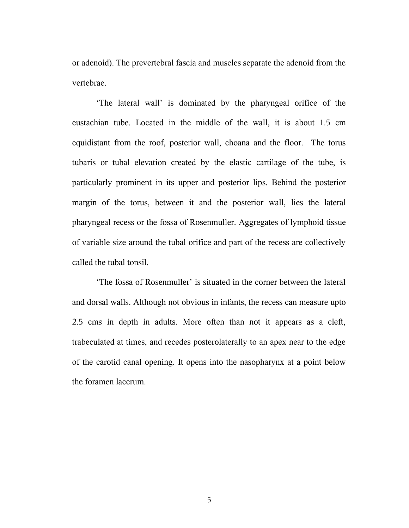or adenoid). The prevertebral fascia and muscles separate the adenoid from the vertebrae.

'The lateral wall' is dominated by the pharyngeal orifice of the eustachian tube. Located in the middle of the wall, it is about 1.5 cm equidistant from the roof, posterior wall, choana and the floor. The torus tubaris or tubal elevation created by the elastic cartilage of the tube, is particularly prominent in its upper and posterior lips. Behind the posterior margin of the torus, between it and the posterior wall, lies the lateral pharyngeal recess or the fossa of Rosenmuller. Aggregates of lymphoid tissue of variable size around the tubal orifice and part of the recess are collectively called the tubal tonsil.

'The fossa of Rosenmuller' is situated in the corner between the lateral and dorsal walls. Although not obvious in infants, the recess can measure upto 2.5 cms in depth in adults. More often than not it appears as a cleft, trabeculated at times, and recedes posterolaterally to an apex near to the edge of the carotid canal opening. It opens into the nasopharynx at a point below the foramen lacerum.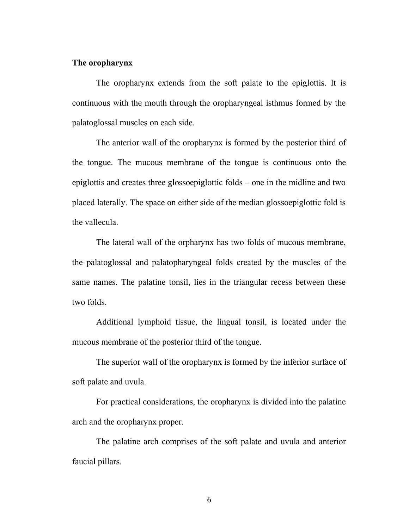#### **The oropharynx**

The oropharynx extends from the soft palate to the epiglottis. It is continuous with the mouth through the oropharyngeal isthmus formed by the palatoglossal muscles on each side.

The anterior wall of the oropharynx is formed by the posterior third of the tongue. The mucous membrane of the tongue is continuous onto the epiglottis and creates three glossoepiglottic folds – one in the midline and two placed laterally. The space on either side of the median glossoepiglottic fold is the vallecula.

The lateral wall of the orpharynx has two folds of mucous membrane, the palatoglossal and palatopharyngeal folds created by the muscles of the same names. The palatine tonsil, lies in the triangular recess between these two folds.

Additional lymphoid tissue, the lingual tonsil, is located under the mucous membrane of the posterior third of the tongue.

The superior wall of the oropharynx is formed by the inferior surface of soft palate and uvula.

For practical considerations, the oropharynx is divided into the palatine arch and the oropharynx proper.

The palatine arch comprises of the soft palate and uvula and anterior faucial pillars.

6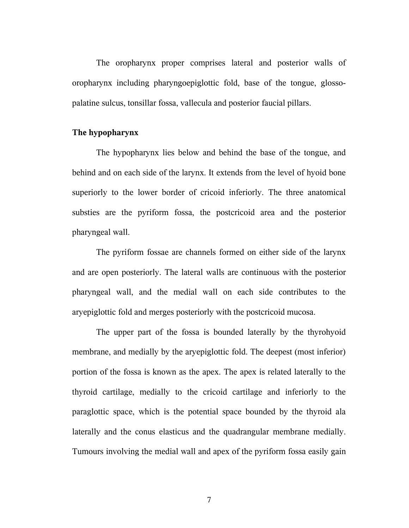The oropharynx proper comprises lateral and posterior walls of oropharynx including pharyngoepiglottic fold, base of the tongue, glossopalatine sulcus, tonsillar fossa, vallecula and posterior faucial pillars.

#### **The hypopharynx**

The hypopharynx lies below and behind the base of the tongue, and behind and on each side of the larynx. It extends from the level of hyoid bone superiorly to the lower border of cricoid inferiorly. The three anatomical substies are the pyriform fossa, the postcricoid area and the posterior pharyngeal wall.

The pyriform fossae are channels formed on either side of the larynx and are open posteriorly. The lateral walls are continuous with the posterior pharyngeal wall, and the medial wall on each side contributes to the aryepiglottic fold and merges posteriorly with the postcricoid mucosa.

The upper part of the fossa is bounded laterally by the thyrohyoid membrane, and medially by the aryepiglottic fold. The deepest (most inferior) portion of the fossa is known as the apex. The apex is related laterally to the thyroid cartilage, medially to the cricoid cartilage and inferiorly to the paraglottic space, which is the potential space bounded by the thyroid ala laterally and the conus elasticus and the quadrangular membrane medially. Tumours involving the medial wall and apex of the pyriform fossa easily gain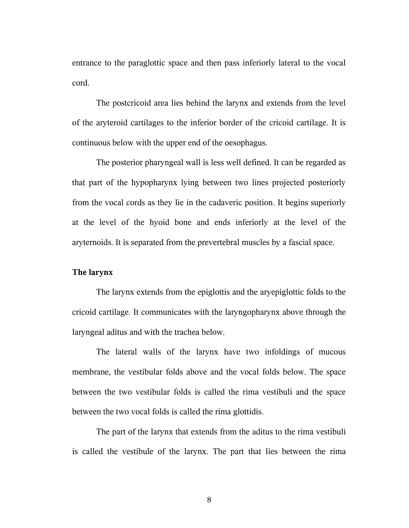entrance to the paraglottic space and then pass inferiorly lateral to the vocal cord.

The postcricoid area lies behind the larynx and extends from the level of the aryteroid cartilages to the inferior border of the cricoid cartilage. It is continuous below with the upper end of the oesophagus.

The posterior pharyngeal wall is less well defined. It can be regarded as that part of the hypopharynx lying between two lines projected posteriorly from the vocal cords as they lie in the cadaveric position. It begins superiorly at the level of the hyoid bone and ends inferiorly at the level of the aryternoids. It is separated from the prevertebral muscles by a fascial space.

#### **The larynx**

The larynx extends from the epiglottis and the aryepiglottic folds to the cricoid cartilage. It communicates with the laryngopharynx above through the laryngeal aditus and with the trachea below.

The lateral walls of the larynx have two infoldings of mucous membrane, the vestibular folds above and the vocal folds below. The space between the two vestibular folds is called the rima vestibuli and the space between the two vocal folds is called the rima glottidis.

The part of the larynx that extends from the aditus to the rima vestibuli is called the vestibule of the larynx. The part that lies between the rima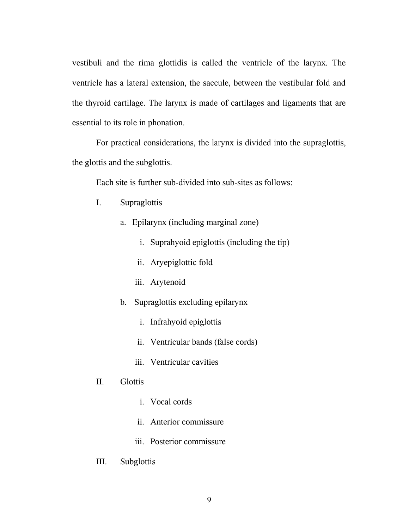vestibuli and the rima glottidis is called the ventricle of the larynx. The ventricle has a lateral extension, the saccule, between the vestibular fold and the thyroid cartilage. The larynx is made of cartilages and ligaments that are essential to its role in phonation.

For practical considerations, the larynx is divided into the supraglottis, the glottis and the subglottis.

Each site is further sub-divided into sub-sites as follows:

- I. Supraglottis
	- a. Epilarynx (including marginal zone)
		- i. Suprahyoid epiglottis (including the tip)
		- ii. Aryepiglottic fold
		- iii. Arytenoid
	- b. Supraglottis excluding epilarynx
		- i. Infrahyoid epiglottis
		- ii. Ventricular bands (false cords)
		- iii. Ventricular cavities

### II. Glottis

- i. Vocal cords
- ii. Anterior commissure
- iii. Posterior commissure
- III. Subglottis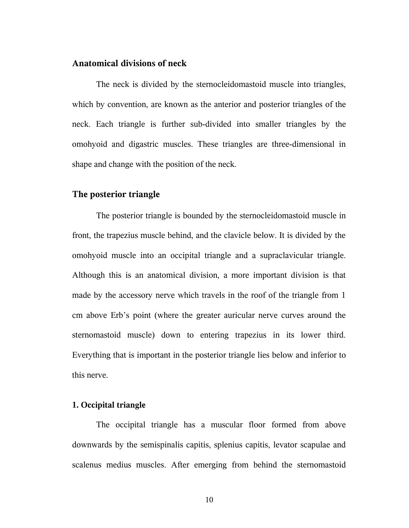## **Anatomical divisions of neck**

The neck is divided by the sternocleidomastoid muscle into triangles, which by convention, are known as the anterior and posterior triangles of the neck. Each triangle is further sub-divided into smaller triangles by the omohyoid and digastric muscles. These triangles are three-dimensional in shape and change with the position of the neck.

#### **The posterior triangle**

 The posterior triangle is bounded by the sternocleidomastoid muscle in front, the trapezius muscle behind, and the clavicle below. It is divided by the omohyoid muscle into an occipital triangle and a supraclavicular triangle. Although this is an anatomical division, a more important division is that made by the accessory nerve which travels in the roof of the triangle from 1 cm above Erb's point (where the greater auricular nerve curves around the sternomastoid muscle) down to entering trapezius in its lower third. Everything that is important in the posterior triangle lies below and inferior to this nerve.

#### **1. Occipital triangle**

The occipital triangle has a muscular floor formed from above downwards by the semispinalis capitis, splenius capitis, levator scapulae and scalenus medius muscles. After emerging from behind the sternomastoid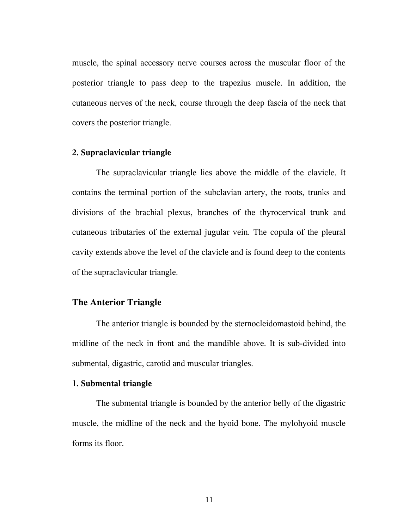muscle, the spinal accessory nerve courses across the muscular floor of the posterior triangle to pass deep to the trapezius muscle. In addition, the cutaneous nerves of the neck, course through the deep fascia of the neck that covers the posterior triangle.

#### **2. Supraclavicular triangle**

The supraclavicular triangle lies above the middle of the clavicle. It contains the terminal portion of the subclavian artery, the roots, trunks and divisions of the brachial plexus, branches of the thyrocervical trunk and cutaneous tributaries of the external jugular vein. The copula of the pleural cavity extends above the level of the clavicle and is found deep to the contents of the supraclavicular triangle.

#### **The Anterior Triangle**

The anterior triangle is bounded by the sternocleidomastoid behind, the midline of the neck in front and the mandible above. It is sub-divided into submental, digastric, carotid and muscular triangles.

#### **1. Submental triangle**

The submental triangle is bounded by the anterior belly of the digastric muscle, the midline of the neck and the hyoid bone. The mylohyoid muscle forms its floor.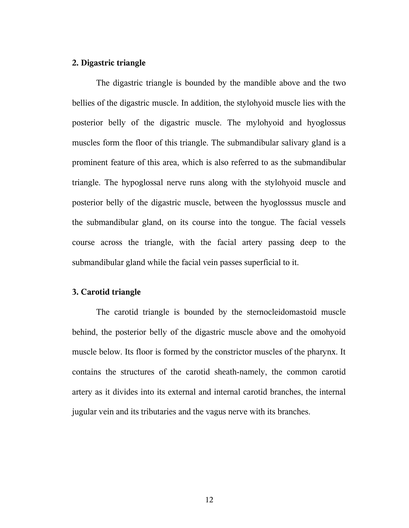#### **2. Digastric triangle**

The digastric triangle is bounded by the mandible above and the two bellies of the digastric muscle. In addition, the stylohyoid muscle lies with the posterior belly of the digastric muscle. The mylohyoid and hyoglossus muscles form the floor of this triangle. The submandibular salivary gland is a prominent feature of this area, which is also referred to as the submandibular triangle. The hypoglossal nerve runs along with the stylohyoid muscle and posterior belly of the digastric muscle, between the hyoglosssus muscle and the submandibular gland, on its course into the tongue. The facial vessels course across the triangle, with the facial artery passing deep to the submandibular gland while the facial vein passes superficial to it.

#### **3. Carotid triangle**

The carotid triangle is bounded by the sternocleidomastoid muscle behind, the posterior belly of the digastric muscle above and the omohyoid muscle below. Its floor is formed by the constrictor muscles of the pharynx. It contains the structures of the carotid sheath-namely, the common carotid artery as it divides into its external and internal carotid branches, the internal jugular vein and its tributaries and the vagus nerve with its branches.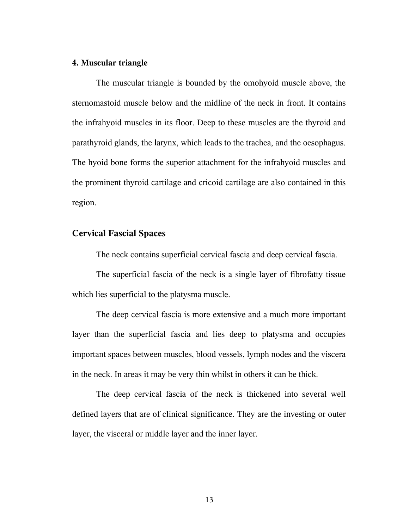#### **4. Muscular triangle**

The muscular triangle is bounded by the omohyoid muscle above, the sternomastoid muscle below and the midline of the neck in front. It contains the infrahyoid muscles in its floor. Deep to these muscles are the thyroid and parathyroid glands, the larynx, which leads to the trachea, and the oesophagus. The hyoid bone forms the superior attachment for the infrahyoid muscles and the prominent thyroid cartilage and cricoid cartilage are also contained in this region.

#### **Cervical Fascial Spaces**

The neck contains superficial cervical fascia and deep cervical fascia.

The superficial fascia of the neck is a single layer of fibrofatty tissue which lies superficial to the platysma muscle.

The deep cervical fascia is more extensive and a much more important layer than the superficial fascia and lies deep to platysma and occupies important spaces between muscles, blood vessels, lymph nodes and the viscera in the neck. In areas it may be very thin whilst in others it can be thick.

The deep cervical fascia of the neck is thickened into several well defined layers that are of clinical significance. They are the investing or outer layer, the visceral or middle layer and the inner layer.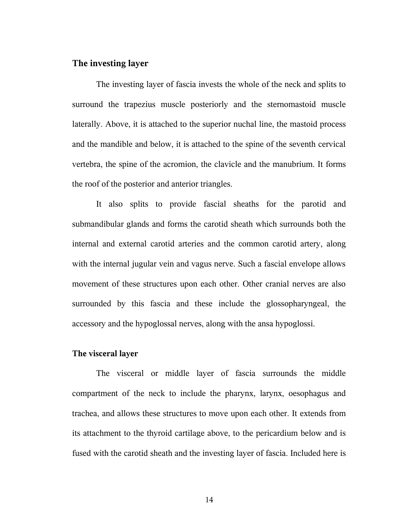### **The investing layer**

The investing layer of fascia invests the whole of the neck and splits to surround the trapezius muscle posteriorly and the sternomastoid muscle laterally. Above, it is attached to the superior nuchal line, the mastoid process and the mandible and below, it is attached to the spine of the seventh cervical vertebra, the spine of the acromion, the clavicle and the manubrium. It forms the roof of the posterior and anterior triangles.

It also splits to provide fascial sheaths for the parotid and submandibular glands and forms the carotid sheath which surrounds both the internal and external carotid arteries and the common carotid artery, along with the internal jugular vein and vagus nerve. Such a fascial envelope allows movement of these structures upon each other. Other cranial nerves are also surrounded by this fascia and these include the glossopharyngeal, the accessory and the hypoglossal nerves, along with the ansa hypoglossi.

#### **The visceral layer**

The visceral or middle layer of fascia surrounds the middle compartment of the neck to include the pharynx, larynx, oesophagus and trachea, and allows these structures to move upon each other. It extends from its attachment to the thyroid cartilage above, to the pericardium below and is fused with the carotid sheath and the investing layer of fascia. Included here is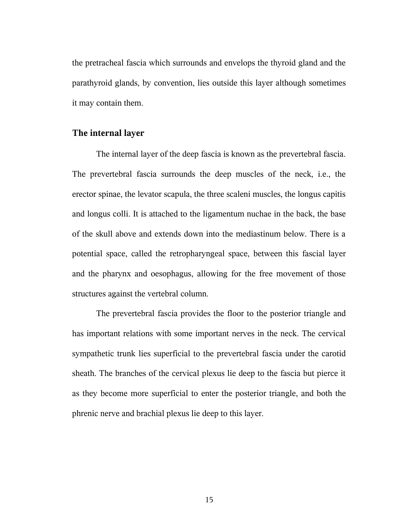the pretracheal fascia which surrounds and envelops the thyroid gland and the parathyroid glands, by convention, lies outside this layer although sometimes it may contain them.

#### **The internal layer**

The internal layer of the deep fascia is known as the prevertebral fascia. The prevertebral fascia surrounds the deep muscles of the neck, i.e., the erector spinae, the levator scapula, the three scaleni muscles, the longus capitis and longus colli. It is attached to the ligamentum nuchae in the back, the base of the skull above and extends down into the mediastinum below. There is a potential space, called the retropharyngeal space, between this fascial layer and the pharynx and oesophagus, allowing for the free movement of those structures against the vertebral column.

The prevertebral fascia provides the floor to the posterior triangle and has important relations with some important nerves in the neck. The cervical sympathetic trunk lies superficial to the prevertebral fascia under the carotid sheath. The branches of the cervical plexus lie deep to the fascia but pierce it as they become more superficial to enter the posterior triangle, and both the phrenic nerve and brachial plexus lie deep to this layer.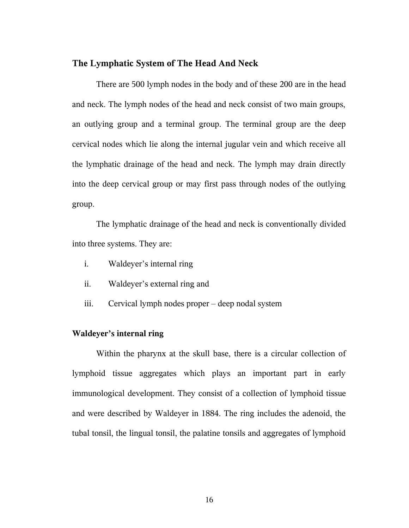#### **The Lymphatic System of The Head And Neck**

There are 500 lymph nodes in the body and of these 200 are in the head and neck. The lymph nodes of the head and neck consist of two main groups, an outlying group and a terminal group. The terminal group are the deep cervical nodes which lie along the internal jugular vein and which receive all the lymphatic drainage of the head and neck. The lymph may drain directly into the deep cervical group or may first pass through nodes of the outlying group.

The lymphatic drainage of the head and neck is conventionally divided into three systems. They are:

- i. Waldeyer's internal ring
- ii. Waldeyer's external ring and
- iii. Cervical lymph nodes proper deep nodal system

#### **Waldeyer's internal ring**

Within the pharynx at the skull base, there is a circular collection of lymphoid tissue aggregates which plays an important part in early immunological development. They consist of a collection of lymphoid tissue and were described by Waldeyer in 1884. The ring includes the adenoid, the tubal tonsil, the lingual tonsil, the palatine tonsils and aggregates of lymphoid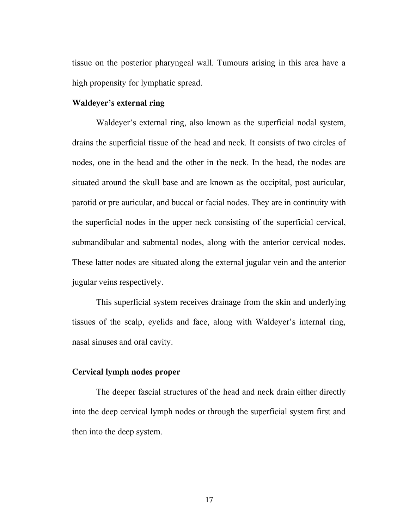tissue on the posterior pharyngeal wall. Tumours arising in this area have a high propensity for lymphatic spread.

#### **Waldeyer's external ring**

Waldeyer's external ring, also known as the superficial nodal system, drains the superficial tissue of the head and neck. It consists of two circles of nodes, one in the head and the other in the neck. In the head, the nodes are situated around the skull base and are known as the occipital, post auricular, parotid or pre auricular, and buccal or facial nodes. They are in continuity with the superficial nodes in the upper neck consisting of the superficial cervical, submandibular and submental nodes, along with the anterior cervical nodes. These latter nodes are situated along the external jugular vein and the anterior jugular veins respectively.

This superficial system receives drainage from the skin and underlying tissues of the scalp, eyelids and face, along with Waldeyer's internal ring, nasal sinuses and oral cavity.

#### **Cervical lymph nodes proper**

The deeper fascial structures of the head and neck drain either directly into the deep cervical lymph nodes or through the superficial system first and then into the deep system.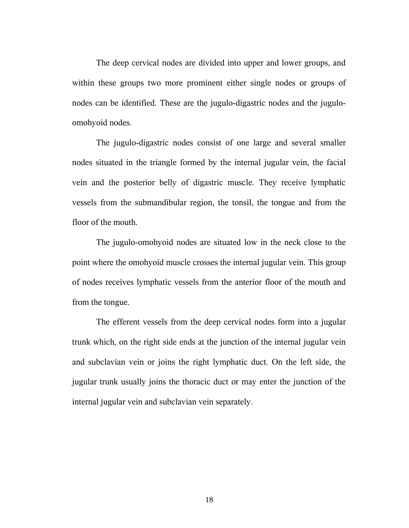The deep cervical nodes are divided into upper and lower groups, and within these groups two more prominent either single nodes or groups of nodes can be identified. These are the jugulo-digastric nodes and the juguloomohyoid nodes.

The jugulo-digastric nodes consist of one large and several smaller nodes situated in the triangle formed by the internal jugular vein, the facial vein and the posterior belly of digastric muscle. They receive lymphatic vessels from the submandibular region, the tonsil, the tongue and from the floor of the mouth.

The jugulo-omohyoid nodes are situated low in the neck close to the point where the omohyoid muscle crosses the internal jugular vein. This group of nodes receives lymphatic vessels from the anterior floor of the mouth and from the tongue.

The efferent vessels from the deep cervical nodes form into a jugular trunk which, on the right side ends at the junction of the internal jugular vein and subclavian vein or joins the right lymphatic duct. On the left side, the jugular trunk usually joins the thoracic duct or may enter the junction of the internal jugular vein and subclavian vein separately.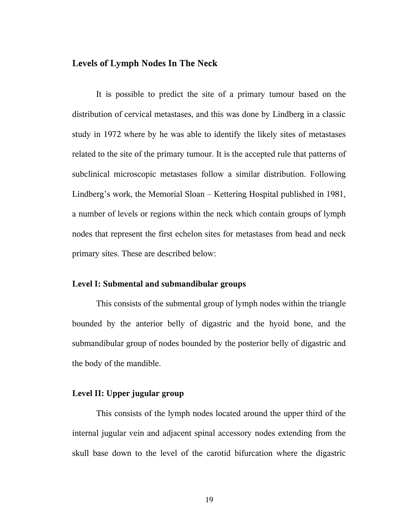## **Levels of Lymph Nodes In The Neck**

It is possible to predict the site of a primary tumour based on the distribution of cervical metastases, and this was done by Lindberg in a classic study in 1972 where by he was able to identify the likely sites of metastases related to the site of the primary tumour. It is the accepted rule that patterns of subclinical microscopic metastases follow a similar distribution. Following Lindberg's work, the Memorial Sloan – Kettering Hospital published in 1981, a number of levels or regions within the neck which contain groups of lymph nodes that represent the first echelon sites for metastases from head and neck primary sites. These are described below:

#### **Level I: Submental and submandibular groups**

This consists of the submental group of lymph nodes within the triangle bounded by the anterior belly of digastric and the hyoid bone, and the submandibular group of nodes bounded by the posterior belly of digastric and the body of the mandible.

### **Level II: Upper jugular group**

This consists of the lymph nodes located around the upper third of the internal jugular vein and adjacent spinal accessory nodes extending from the skull base down to the level of the carotid bifurcation where the digastric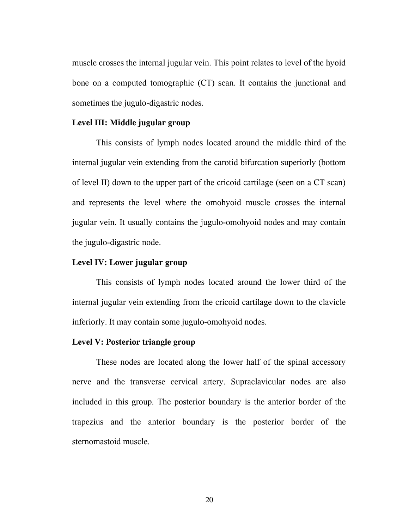muscle crosses the internal jugular vein. This point relates to level of the hyoid bone on a computed tomographic (CT) scan. It contains the junctional and sometimes the jugulo-digastric nodes.

#### **Level III: Middle jugular group**

This consists of lymph nodes located around the middle third of the internal jugular vein extending from the carotid bifurcation superiorly (bottom of level II) down to the upper part of the cricoid cartilage (seen on a CT scan) and represents the level where the omohyoid muscle crosses the internal jugular vein. It usually contains the jugulo-omohyoid nodes and may contain the jugulo-digastric node.

#### **Level IV: Lower jugular group**

This consists of lymph nodes located around the lower third of the internal jugular vein extending from the cricoid cartilage down to the clavicle inferiorly. It may contain some jugulo-omohyoid nodes.

#### **Level V: Posterior triangle group**

These nodes are located along the lower half of the spinal accessory nerve and the transverse cervical artery. Supraclavicular nodes are also included in this group. The posterior boundary is the anterior border of the trapezius and the anterior boundary is the posterior border of the sternomastoid muscle.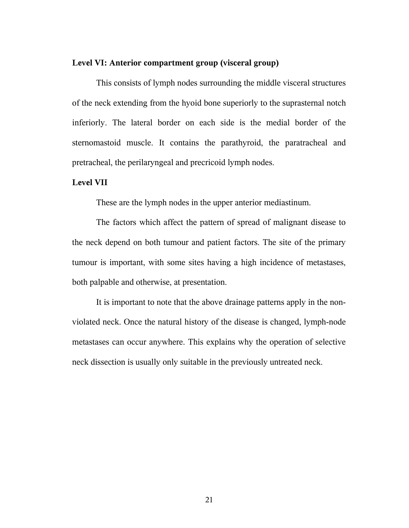#### **Level VI: Anterior compartment group (visceral group)**

This consists of lymph nodes surrounding the middle visceral structures of the neck extending from the hyoid bone superiorly to the suprasternal notch inferiorly. The lateral border on each side is the medial border of the sternomastoid muscle. It contains the parathyroid, the paratracheal and pretracheal, the perilaryngeal and precricoid lymph nodes.

#### **Level VII**

These are the lymph nodes in the upper anterior mediastinum.

The factors which affect the pattern of spread of malignant disease to the neck depend on both tumour and patient factors. The site of the primary tumour is important, with some sites having a high incidence of metastases, both palpable and otherwise, at presentation.

It is important to note that the above drainage patterns apply in the nonviolated neck. Once the natural history of the disease is changed, lymph-node metastases can occur anywhere. This explains why the operation of selective neck dissection is usually only suitable in the previously untreated neck.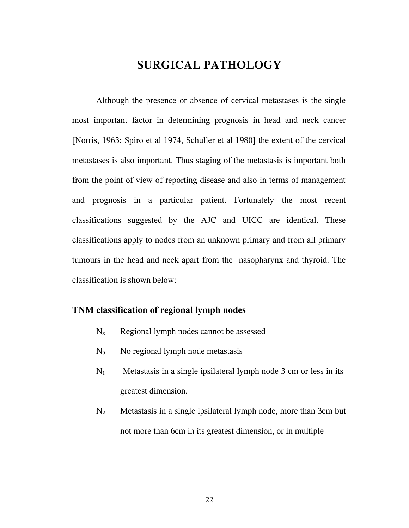# **SURGICAL PATHOLOGY**

Although the presence or absence of cervical metastases is the single most important factor in determining prognosis in head and neck cancer [Norris, 1963; Spiro et al 1974, Schuller et al 1980] the extent of the cervical metastases is also important. Thus staging of the metastasis is important both from the point of view of reporting disease and also in terms of management and prognosis in a particular patient. Fortunately the most recent classifications suggested by the AJC and UICC are identical. These classifications apply to nodes from an unknown primary and from all primary tumours in the head and neck apart from the nasopharynx and thyroid. The classification is shown below:

#### **TNM classification of regional lymph nodes**

- $N_x$  Regional lymph nodes cannot be assessed
- $N_0$  No regional lymph node metastasis
- $N_1$  Metastasis in a single ipsilateral lymph node 3 cm or less in its greatest dimension.
- $N_2$  Metastasis in a single ipsilateral lymph node, more than 3cm but not more than 6cm in its greatest dimension, or in multiple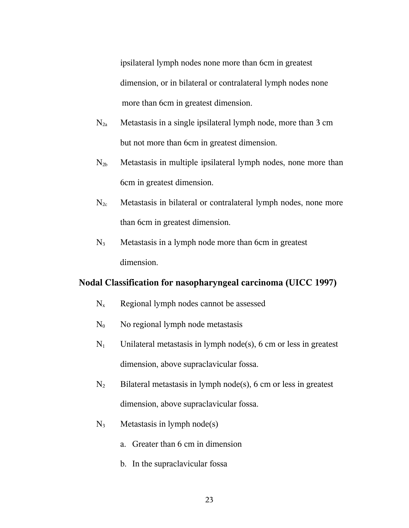ipsilateral lymph nodes none more than 6cm in greatest dimension, or in bilateral or contralateral lymph nodes none more than 6cm in greatest dimension.

- $N_{2a}$  Metastasis in a single ipsilateral lymph node, more than 3 cm but not more than 6cm in greatest dimension.
- $N_{2b}$  Metastasis in multiple ipsilateral lymph nodes, none more than 6cm in greatest dimension.
- $N_{2c}$  Metastasis in bilateral or contralateral lymph nodes, none more than 6cm in greatest dimension.
- $N_3$  Metastasis in a lymph node more than 6cm in greatest dimension.

### **Nodal Classification for nasopharyngeal carcinoma (UICC 1997)**

- $N_x$  Regional lymph nodes cannot be assessed
- $N_0$  No regional lymph node metastasis
- $N_1$  Unilateral metastasis in lymph node(s), 6 cm or less in greatest dimension, above supraclavicular fossa.
- $N_2$  Bilateral metastasis in lymph node(s), 6 cm or less in greatest dimension, above supraclavicular fossa.
- $N_3$  Metastasis in lymph node(s)
	- a. Greater than 6 cm in dimension
	- b. In the supraclavicular fossa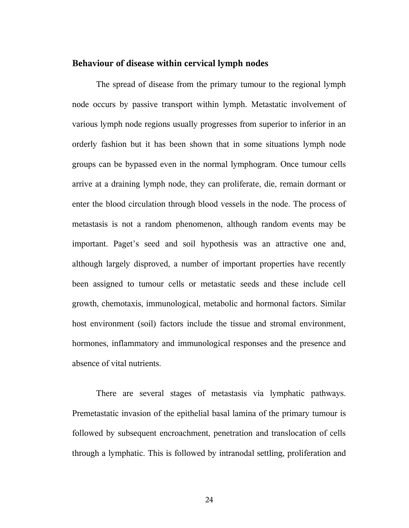#### **Behaviour of disease within cervical lymph nodes**

The spread of disease from the primary tumour to the regional lymph node occurs by passive transport within lymph. Metastatic involvement of various lymph node regions usually progresses from superior to inferior in an orderly fashion but it has been shown that in some situations lymph node groups can be bypassed even in the normal lymphogram. Once tumour cells arrive at a draining lymph node, they can proliferate, die, remain dormant or enter the blood circulation through blood vessels in the node. The process of metastasis is not a random phenomenon, although random events may be important. Paget's seed and soil hypothesis was an attractive one and, although largely disproved, a number of important properties have recently been assigned to tumour cells or metastatic seeds and these include cell growth, chemotaxis, immunological, metabolic and hormonal factors. Similar host environment (soil) factors include the tissue and stromal environment, hormones, inflammatory and immunological responses and the presence and absence of vital nutrients.

There are several stages of metastasis via lymphatic pathways. Premetastatic invasion of the epithelial basal lamina of the primary tumour is followed by subsequent encroachment, penetration and translocation of cells through a lymphatic. This is followed by intranodal settling, proliferation and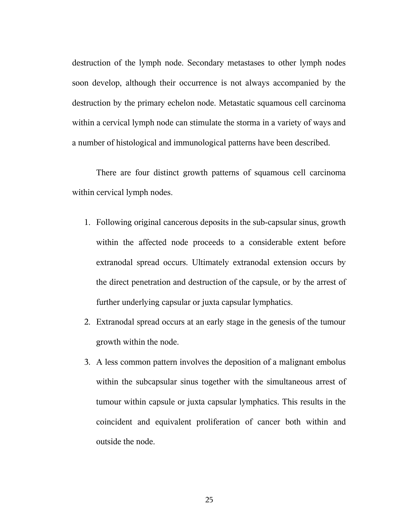destruction of the lymph node. Secondary metastases to other lymph nodes soon develop, although their occurrence is not always accompanied by the destruction by the primary echelon node. Metastatic squamous cell carcinoma within a cervical lymph node can stimulate the storma in a variety of ways and a number of histological and immunological patterns have been described.

There are four distinct growth patterns of squamous cell carcinoma within cervical lymph nodes.

- 1. Following original cancerous deposits in the sub-capsular sinus, growth within the affected node proceeds to a considerable extent before extranodal spread occurs. Ultimately extranodal extension occurs by the direct penetration and destruction of the capsule, or by the arrest of further underlying capsular or juxta capsular lymphatics.
- 2. Extranodal spread occurs at an early stage in the genesis of the tumour growth within the node.
- 3. A less common pattern involves the deposition of a malignant embolus within the subcapsular sinus together with the simultaneous arrest of tumour within capsule or juxta capsular lymphatics. This results in the coincident and equivalent proliferation of cancer both within and outside the node.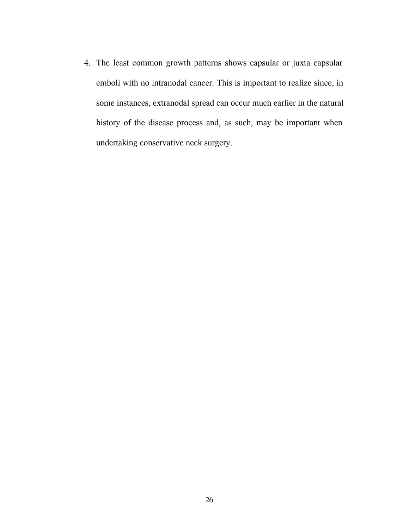4. The least common growth patterns shows capsular or juxta capsular emboli with no intranodal cancer. This is important to realize since, in some instances, extranodal spread can occur much earlier in the natural history of the disease process and, as such, may be important when undertaking conservative neck surgery.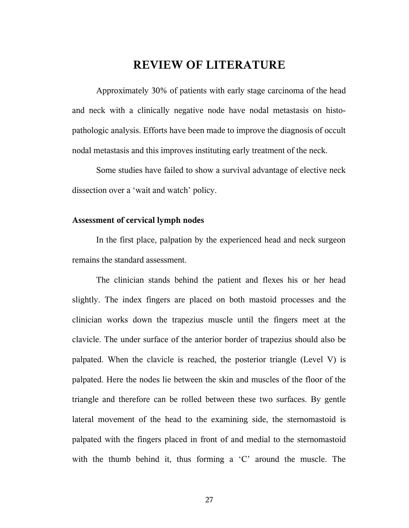# **REVIEW OF LITERATURE**

Approximately 30% of patients with early stage carcinoma of the head and neck with a clinically negative node have nodal metastasis on histopathologic analysis. Efforts have been made to improve the diagnosis of occult nodal metastasis and this improves instituting early treatment of the neck.

Some studies have failed to show a survival advantage of elective neck dissection over a 'wait and watch' policy.

#### **Assessment of cervical lymph nodes**

In the first place, palpation by the experienced head and neck surgeon remains the standard assessment.

The clinician stands behind the patient and flexes his or her head slightly. The index fingers are placed on both mastoid processes and the clinician works down the trapezius muscle until the fingers meet at the clavicle. The under surface of the anterior border of trapezius should also be palpated. When the clavicle is reached, the posterior triangle (Level V) is palpated. Here the nodes lie between the skin and muscles of the floor of the triangle and therefore can be rolled between these two surfaces. By gentle lateral movement of the head to the examining side, the sternomastoid is palpated with the fingers placed in front of and medial to the sternomastoid with the thumb behind it, thus forming a 'C' around the muscle. The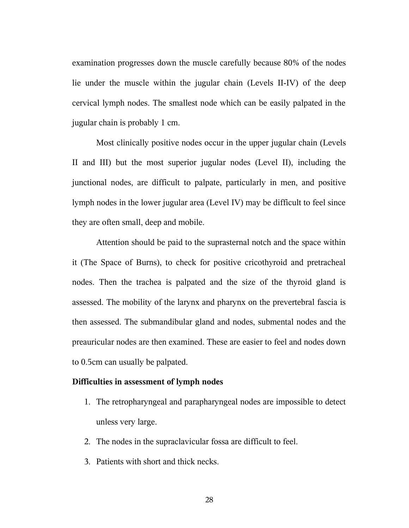examination progresses down the muscle carefully because 80% of the nodes lie under the muscle within the jugular chain (Levels II-IV) of the deep cervical lymph nodes. The smallest node which can be easily palpated in the jugular chain is probably 1 cm.

Most clinically positive nodes occur in the upper jugular chain (Levels II and III) but the most superior jugular nodes (Level II), including the junctional nodes, are difficult to palpate, particularly in men, and positive lymph nodes in the lower jugular area (Level IV) may be difficult to feel since they are often small, deep and mobile.

Attention should be paid to the suprasternal notch and the space within it (The Space of Burns), to check for positive cricothyroid and pretracheal nodes. Then the trachea is palpated and the size of the thyroid gland is assessed. The mobility of the larynx and pharynx on the prevertebral fascia is then assessed. The submandibular gland and nodes, submental nodes and the preauricular nodes are then examined. These are easier to feel and nodes down to 0.5cm can usually be palpated.

### **Difficulties in assessment of lymph nodes**

- 1. The retropharyngeal and parapharyngeal nodes are impossible to detect unless very large.
- 2. The nodes in the supraclavicular fossa are difficult to feel.
- 3. Patients with short and thick necks.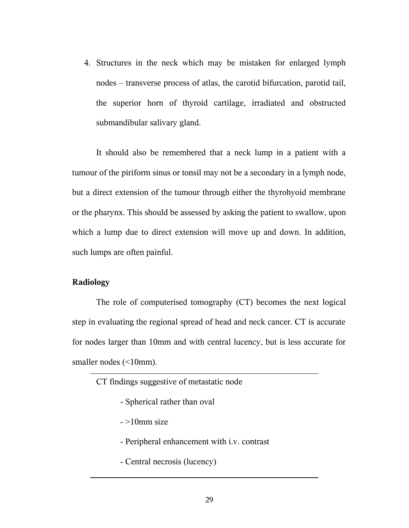4. Structures in the neck which may be mistaken for enlarged lymph nodes – transverse process of atlas, the carotid bifurcation, parotid tail, the superior horn of thyroid cartilage, irradiated and obstructed submandibular salivary gland.

It should also be remembered that a neck lump in a patient with a tumour of the piriform sinus or tonsil may not be a secondary in a lymph node, but a direct extension of the tumour through either the thyrohyoid membrane or the pharynx. This should be assessed by asking the patient to swallow, upon which a lump due to direct extension will move up and down. In addition, such lumps are often painful.

### **Radiology**

The role of computerised tomography (CT) becomes the next logical step in evaluating the regional spread of head and neck cancer. CT is accurate for nodes larger than 10mm and with central lucency, but is less accurate for smaller nodes (<10mm).

CT findings suggestive of metastatic node

- Spherical rather than oval
- $-$  >10mm size
- Peripheral enhancement with i.v. contrast
- Central necrosis (lucency)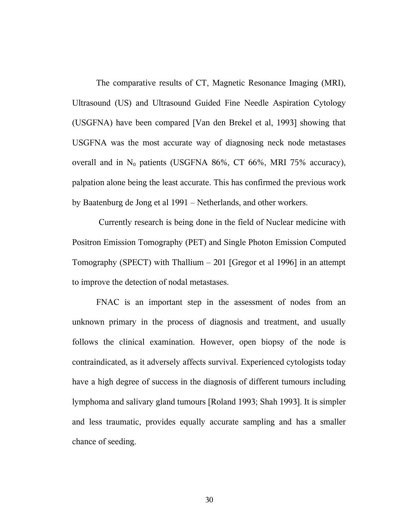The comparative results of CT, Magnetic Resonance Imaging (MRI), Ultrasound (US) and Ultrasound Guided Fine Needle Aspiration Cytology (USGFNA) have been compared [Van den Brekel et al, 1993] showing that USGFNA was the most accurate way of diagnosing neck node metastases overall and in  $N_0$  patients (USGFNA 86%, CT 66%, MRI 75% accuracy), palpation alone being the least accurate. This has confirmed the previous work by Baatenburg de Jong et al 1991 – Netherlands, and other workers.

 Currently research is being done in the field of Nuclear medicine with Positron Emission Tomography (PET) and Single Photon Emission Computed Tomography (SPECT) with Thallium  $-201$  [Gregor et al 1996] in an attempt to improve the detection of nodal metastases.

FNAC is an important step in the assessment of nodes from an unknown primary in the process of diagnosis and treatment, and usually follows the clinical examination. However, open biopsy of the node is contraindicated, as it adversely affects survival. Experienced cytologists today have a high degree of success in the diagnosis of different tumours including lymphoma and salivary gland tumours [Roland 1993; Shah 1993]. It is simpler and less traumatic, provides equally accurate sampling and has a smaller chance of seeding.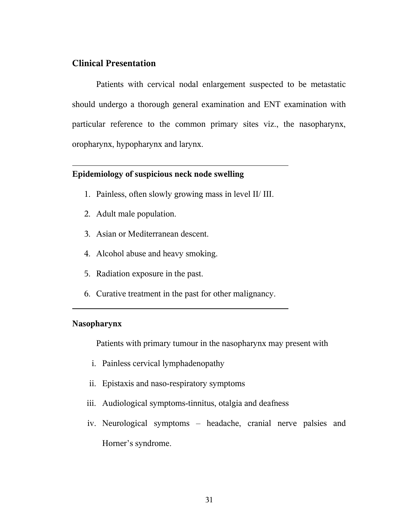## **Clinical Presentation**

Patients with cervical nodal enlargement suspected to be metastatic should undergo a thorough general examination and ENT examination with particular reference to the common primary sites viz., the nasopharynx, oropharynx, hypopharynx and larynx.

#### **Epidemiology of suspicious neck node swelling**

- 1. Painless, often slowly growing mass in level II/ III.
- 2. Adult male population.
- 3. Asian or Mediterranean descent.
- 4. Alcohol abuse and heavy smoking.
- 5. Radiation exposure in the past.
- 6. Curative treatment in the past for other malignancy.

#### **Nasopharynx**

Patients with primary tumour in the nasopharynx may present with

- i. Painless cervical lymphadenopathy
- ii. Epistaxis and naso-respiratory symptoms
- iii. Audiological symptoms-tinnitus, otalgia and deafness
- iv. Neurological symptoms headache, cranial nerve palsies and Horner's syndrome.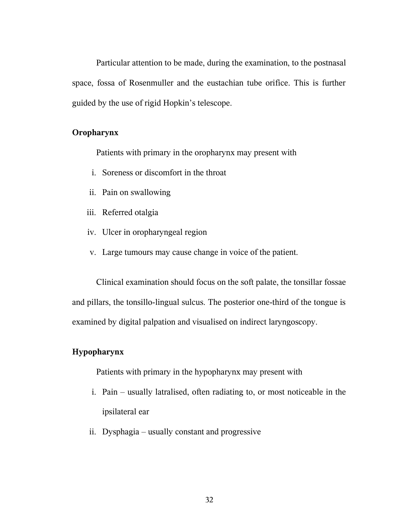Particular attention to be made, during the examination, to the postnasal space, fossa of Rosenmuller and the eustachian tube orifice. This is further guided by the use of rigid Hopkin's telescope.

#### **Oropharynx**

Patients with primary in the oropharynx may present with

- i. Soreness or discomfort in the throat
- ii. Pain on swallowing
- iii. Referred otalgia
- iv. Ulcer in oropharyngeal region
- v. Large tumours may cause change in voice of the patient.

Clinical examination should focus on the soft palate, the tonsillar fossae and pillars, the tonsillo-lingual sulcus. The posterior one-third of the tongue is examined by digital palpation and visualised on indirect laryngoscopy.

### **Hypopharynx**

Patients with primary in the hypopharynx may present with

- i. Pain usually latralised, often radiating to, or most noticeable in the ipsilateral ear
- ii. Dysphagia usually constant and progressive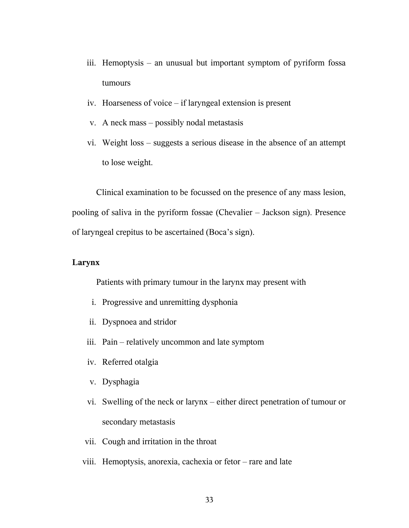- iii. Hemoptysis an unusual but important symptom of pyriform fossa tumours
- iv. Hoarseness of voice if laryngeal extension is present
- v. A neck mass possibly nodal metastasis
- vi. Weight loss suggests a serious disease in the absence of an attempt to lose weight.

Clinical examination to be focussed on the presence of any mass lesion, pooling of saliva in the pyriform fossae (Chevalier – Jackson sign). Presence of laryngeal crepitus to be ascertained (Boca's sign).

## **Larynx**

Patients with primary tumour in the larynx may present with

- i. Progressive and unremitting dysphonia
- ii. Dyspnoea and stridor
- iii. Pain relatively uncommon and late symptom
- iv. Referred otalgia
- v. Dysphagia
- vi. Swelling of the neck or larynx either direct penetration of tumour or secondary metastasis
- vii. Cough and irritation in the throat
- viii. Hemoptysis, anorexia, cachexia or fetor rare and late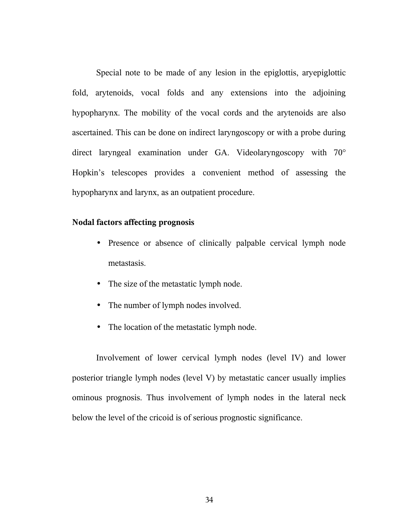Special note to be made of any lesion in the epiglottis, aryepiglottic fold, arytenoids, vocal folds and any extensions into the adjoining hypopharynx. The mobility of the vocal cords and the arytenoids are also ascertained. This can be done on indirect laryngoscopy or with a probe during direct laryngeal examination under GA. Videolaryngoscopy with 70° Hopkin's telescopes provides a convenient method of assessing the hypopharynx and larynx, as an outpatient procedure.

#### **Nodal factors affecting prognosis**

- Presence or absence of clinically palpable cervical lymph node metastasis.
- The size of the metastatic lymph node.
- The number of lymph nodes involved.
- The location of the metastatic lymph node.

Involvement of lower cervical lymph nodes (level IV) and lower posterior triangle lymph nodes (level V) by metastatic cancer usually implies ominous prognosis. Thus involvement of lymph nodes in the lateral neck below the level of the cricoid is of serious prognostic significance.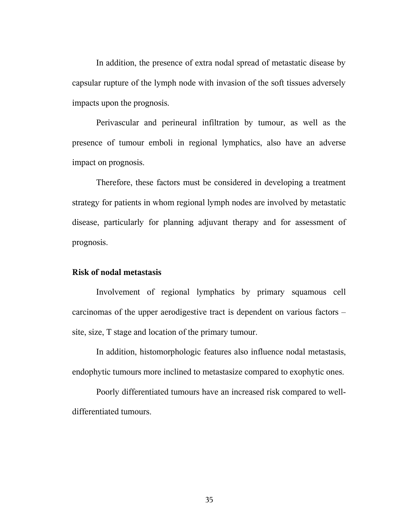In addition, the presence of extra nodal spread of metastatic disease by capsular rupture of the lymph node with invasion of the soft tissues adversely impacts upon the prognosis.

Perivascular and perineural infiltration by tumour, as well as the presence of tumour emboli in regional lymphatics, also have an adverse impact on prognosis.

Therefore, these factors must be considered in developing a treatment strategy for patients in whom regional lymph nodes are involved by metastatic disease, particularly for planning adjuvant therapy and for assessment of prognosis.

#### **Risk of nodal metastasis**

Involvement of regional lymphatics by primary squamous cell carcinomas of the upper aerodigestive tract is dependent on various factors – site, size, T stage and location of the primary tumour.

In addition, histomorphologic features also influence nodal metastasis, endophytic tumours more inclined to metastasize compared to exophytic ones.

Poorly differentiated tumours have an increased risk compared to welldifferentiated tumours.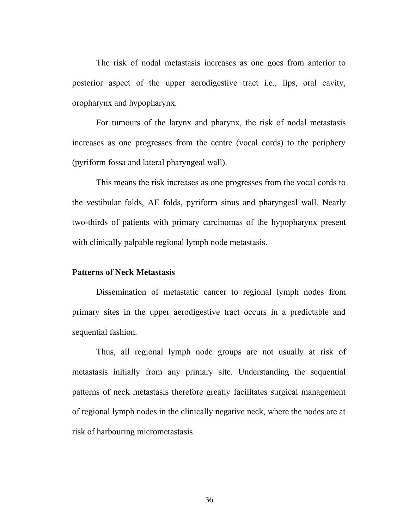The risk of nodal metastasis increases as one goes from anterior to posterior aspect of the upper aerodigestive tract i.e., lips, oral cavity, oropharynx and hypopharynx.

For tumours of the larynx and pharynx, the risk of nodal metastasis increases as one progresses from the centre (vocal cords) to the periphery (pyriform fossa and lateral pharyngeal wall).

This means the risk increases as one progresses from the vocal cords to the vestibular folds, AE folds, pyriform sinus and pharyngeal wall. Nearly two-thirds of patients with primary carcinomas of the hypopharynx present with clinically palpable regional lymph node metastasis.

#### **Patterns of Neck Metastasis**

Dissemination of metastatic cancer to regional lymph nodes from primary sites in the upper aerodigestive tract occurs in a predictable and sequential fashion.

Thus, all regional lymph node groups are not usually at risk of metastasis initially from any primary site. Understanding the sequential patterns of neck metastasis therefore greatly facilitates surgical management of regional lymph nodes in the clinically negative neck, where the nodes are at risk of harbouring micrometastasis.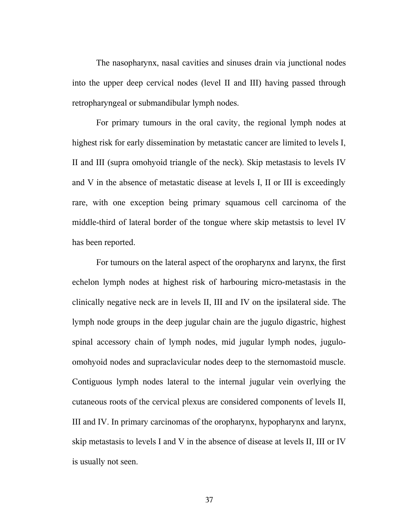The nasopharynx, nasal cavities and sinuses drain via junctional nodes into the upper deep cervical nodes (level II and III) having passed through retropharyngeal or submandibular lymph nodes.

For primary tumours in the oral cavity, the regional lymph nodes at highest risk for early dissemination by metastatic cancer are limited to levels I, II and III (supra omohyoid triangle of the neck). Skip metastasis to levels IV and V in the absence of metastatic disease at levels I, II or III is exceedingly rare, with one exception being primary squamous cell carcinoma of the middle-third of lateral border of the tongue where skip metastsis to level IV has been reported.

For tumours on the lateral aspect of the oropharynx and larynx, the first echelon lymph nodes at highest risk of harbouring micro-metastasis in the clinically negative neck are in levels II, III and IV on the ipsilateral side. The lymph node groups in the deep jugular chain are the jugulo digastric, highest spinal accessory chain of lymph nodes, mid jugular lymph nodes, juguloomohyoid nodes and supraclavicular nodes deep to the sternomastoid muscle. Contiguous lymph nodes lateral to the internal jugular vein overlying the cutaneous roots of the cervical plexus are considered components of levels II, III and IV. In primary carcinomas of the oropharynx, hypopharynx and larynx, skip metastasis to levels I and V in the absence of disease at levels II, III or IV is usually not seen.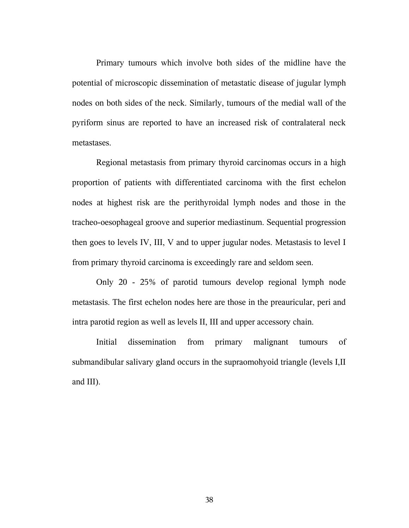Primary tumours which involve both sides of the midline have the potential of microscopic dissemination of metastatic disease of jugular lymph nodes on both sides of the neck. Similarly, tumours of the medial wall of the pyriform sinus are reported to have an increased risk of contralateral neck metastases.

Regional metastasis from primary thyroid carcinomas occurs in a high proportion of patients with differentiated carcinoma with the first echelon nodes at highest risk are the perithyroidal lymph nodes and those in the tracheo-oesophageal groove and superior mediastinum. Sequential progression then goes to levels IV, III, V and to upper jugular nodes. Metastasis to level I from primary thyroid carcinoma is exceedingly rare and seldom seen.

Only 20 - 25% of parotid tumours develop regional lymph node metastasis. The first echelon nodes here are those in the preauricular, peri and intra parotid region as well as levels II, III and upper accessory chain.

Initial dissemination from primary malignant tumours of submandibular salivary gland occurs in the supraomohyoid triangle (levels I,II and III).

38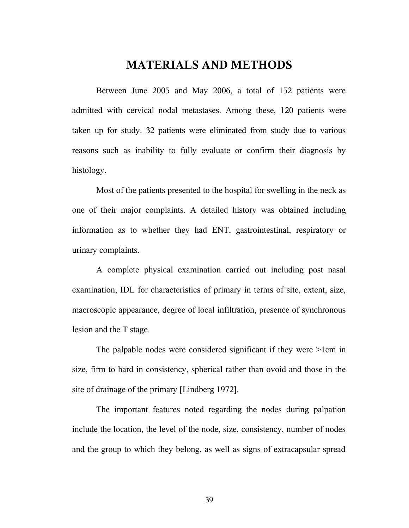# **MATERIALS AND METHODS**

Between June 2005 and May 2006, a total of 152 patients were admitted with cervical nodal metastases. Among these, 120 patients were taken up for study. 32 patients were eliminated from study due to various reasons such as inability to fully evaluate or confirm their diagnosis by histology.

Most of the patients presented to the hospital for swelling in the neck as one of their major complaints. A detailed history was obtained including information as to whether they had ENT, gastrointestinal, respiratory or urinary complaints.

A complete physical examination carried out including post nasal examination, IDL for characteristics of primary in terms of site, extent, size, macroscopic appearance, degree of local infiltration, presence of synchronous lesion and the T stage.

The palpable nodes were considered significant if they were >1cm in size, firm to hard in consistency, spherical rather than ovoid and those in the site of drainage of the primary [Lindberg 1972].

The important features noted regarding the nodes during palpation include the location, the level of the node, size, consistency, number of nodes and the group to which they belong, as well as signs of extracapsular spread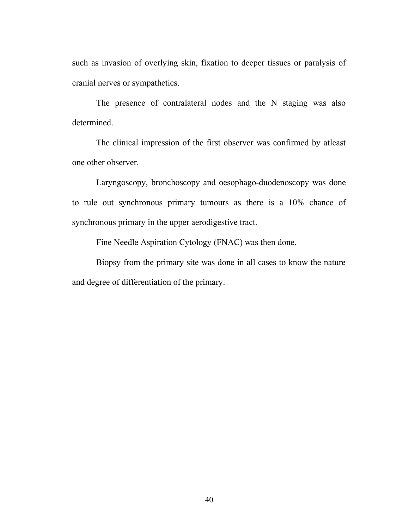such as invasion of overlying skin, fixation to deeper tissues or paralysis of cranial nerves or sympathetics.

The presence of contralateral nodes and the N staging was also determined.

The clinical impression of the first observer was confirmed by atleast one other observer.

Laryngoscopy, bronchoscopy and oesophago-duodenoscopy was done to rule out synchronous primary tumours as there is a 10% chance of synchronous primary in the upper aerodigestive tract.

Fine Needle Aspiration Cytology (FNAC) was then done.

Biopsy from the primary site was done in all cases to know the nature and degree of differentiation of the primary.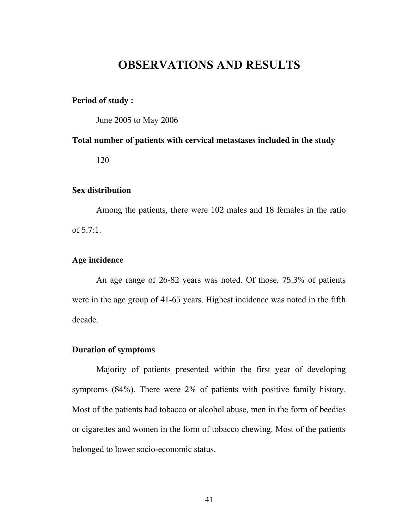# **OBSERVATIONS AND RESULTS**

#### **Period of study :**

June 2005 to May 2006

## **Total number of patients with cervical metastases included in the study**

120

#### **Sex distribution**

Among the patients, there were 102 males and 18 females in the ratio of 5.7:1.

## **Age incidence**

An age range of 26-82 years was noted. Of those, 75.3% of patients were in the age group of 41-65 years. Highest incidence was noted in the fifth decade.

#### **Duration of symptoms**

Majority of patients presented within the first year of developing symptoms (84%). There were 2% of patients with positive family history. Most of the patients had tobacco or alcohol abuse, men in the form of beedies or cigarettes and women in the form of tobacco chewing. Most of the patients belonged to lower socio-economic status.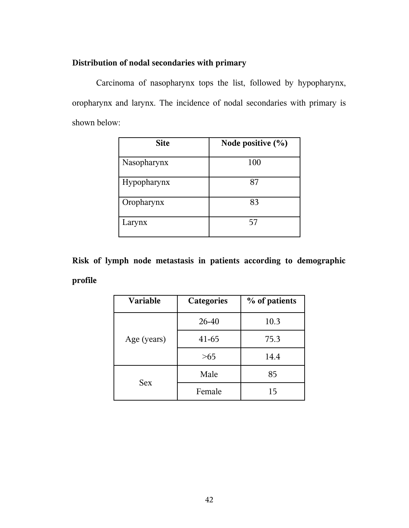## **Distribution of nodal secondaries with primary**

Carcinoma of nasopharynx tops the list, followed by hypopharynx, oropharynx and larynx. The incidence of nodal secondaries with primary is shown below:

| <b>Site</b> | Node positive $(\% )$ |
|-------------|-----------------------|
| Nasopharynx | 100                   |
| Hypopharynx | 87                    |
| Oropharynx  | 83                    |
| Larynx      | 57                    |

**Risk of lymph node metastasis in patients according to demographic profile**

| Variable    | <b>Categories</b> | % of patients |  |
|-------------|-------------------|---------------|--|
|             | 26-40             | 10.3          |  |
| Age (years) | $41 - 65$         | 75.3          |  |
|             | >65               | 14.4          |  |
|             | Male              | 85            |  |
| <b>Sex</b>  | Female            | 15            |  |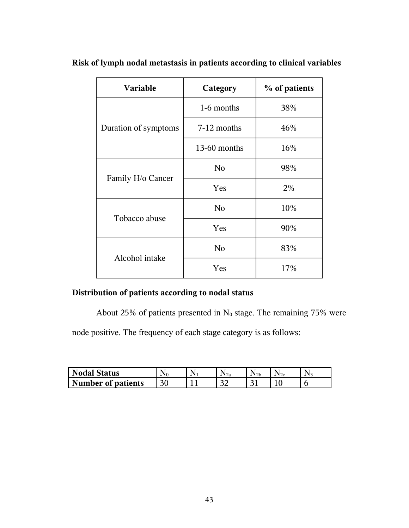| <b>Variable</b>      | Category       | % of patients |
|----------------------|----------------|---------------|
|                      | 1-6 months     | 38%           |
| Duration of symptoms | 7-12 months    | 46%           |
|                      | 13-60 months   | 16%           |
|                      | N <sub>0</sub> | 98%           |
| Family H/o Cancer    | Yes            | 2%            |
| Tobacco abuse        | No             | 10%           |
|                      | Yes            | 90%           |
|                      | No             | 83%           |
| Alcohol intake       | Yes            | 17%           |

**Risk of lymph nodal metastasis in patients according to clinical variables** 

# **Distribution of patients according to nodal status**

About 25% of patients presented in  $N_0$  stage. The remaining 75% were

node positive. The frequency of each stage category is as follows:

| <b>Nodal Status</b>       | N۵ | ' 2a         | $v_{2b}$ |  |
|---------------------------|----|--------------|----------|--|
| <b>Number of patients</b> |    | $\sim$<br>-- | ⌒        |  |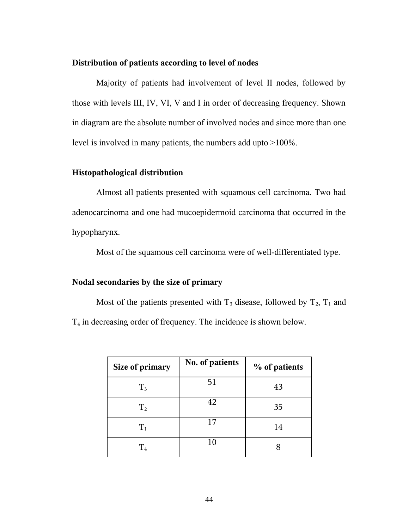### **Distribution of patients according to level of nodes**

Majority of patients had involvement of level II nodes, followed by those with levels III, IV, VI, V and I in order of decreasing frequency. Shown in diagram are the absolute number of involved nodes and since more than one level is involved in many patients, the numbers add upto >100%.

#### **Histopathological distribution**

Almost all patients presented with squamous cell carcinoma. Two had adenocarcinoma and one had mucoepidermoid carcinoma that occurred in the hypopharynx.

Most of the squamous cell carcinoma were of well-differentiated type.

### **Nodal secondaries by the size of primary**

Most of the patients presented with  $T_3$  disease, followed by  $T_2$ ,  $T_1$  and T4 in decreasing order of frequency. The incidence is shown below.

| Size of primary | No. of patients | % of patients |
|-----------------|-----------------|---------------|
| $T_3$           | 51              | 43            |
| $T_{2}$         | 42              | 35            |
| $T_1$           | 17              | 14            |
| $\rm T_{4}$     | 10              |               |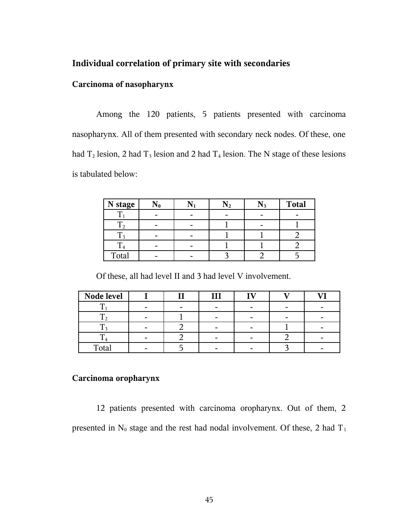## **Individual correlation of primary site with secondaries**

### **Carcinoma of nasopharynx**

Among the 120 patients, 5 patients presented with carcinoma nasopharynx. All of them presented with secondary neck nodes. Of these, one had  $T_2$  lesion, 2 had  $T_3$  lesion and 2 had  $T_4$  lesion. The N stage of these lesions is tabulated below:

| N stage |  |  | <b>Total</b> |
|---------|--|--|--------------|
|         |  |  |              |
|         |  |  |              |
|         |  |  |              |
|         |  |  |              |
| Total   |  |  |              |

Of these, all had level II and 3 had level V involvement.

| Node level |  | III |  |  |
|------------|--|-----|--|--|
|            |  |     |  |  |
|            |  |     |  |  |
|            |  |     |  |  |
|            |  |     |  |  |
| Total      |  |     |  |  |

#### **Carcinoma oropharynx**

12 patients presented with carcinoma oropharynx. Out of them, 2 presented in  $N_0$  stage and the rest had nodal involvement. Of these, 2 had  $T_1$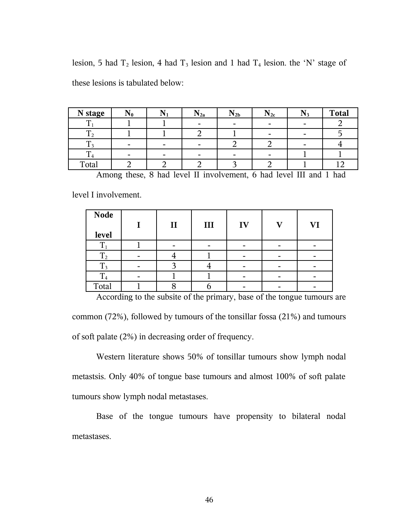| N stage |  | $19_{2a}$ | $\rm N_{2b}$ | $\rm N_{2c}$ | <b>Total</b> |
|---------|--|-----------|--------------|--------------|--------------|
|         |  |           |              |              |              |
|         |  |           |              |              |              |
|         |  |           |              |              |              |
|         |  |           |              |              |              |
| Total   |  |           |              |              |              |

lesion, 5 had  $T_2$  lesion, 4 had  $T_3$  lesion and 1 had  $T_4$  lesion. the 'N' stage of these lesions is tabulated below:

Among these, 8 had level II involvement, 6 had level III and 1 had

level I involvement.

| <b>Node</b>    | $\mathbf{I}$ | $\mathbf{III}$ | IV | VI |
|----------------|--------------|----------------|----|----|
| level          |              |                |    |    |
|                |              |                |    |    |
| $T_{2}$        |              |                |    |    |
| $T_3$          |              |                |    |    |
| T <sub>4</sub> |              |                |    |    |
| Total          |              |                |    |    |

According to the subsite of the primary, base of the tongue tumours are common (72%), followed by tumours of the tonsillar fossa (21%) and tumours of soft palate (2%) in decreasing order of frequency.

Western literature shows 50% of tonsillar tumours show lymph nodal metastsis. Only 40% of tongue base tumours and almost 100% of soft palate tumours show lymph nodal metastases.

Base of the tongue tumours have propensity to bilateral nodal metastases.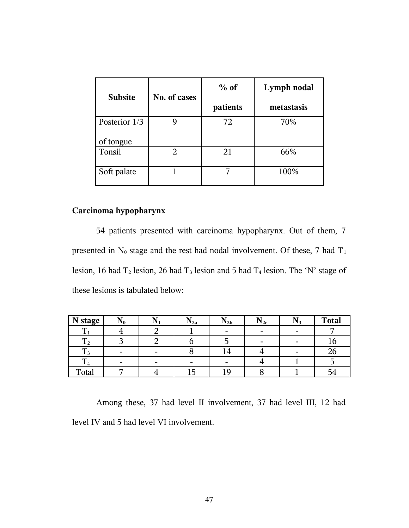| <b>Subsite</b> | No. of cases   | $%$ of   | Lymph nodal |  |
|----------------|----------------|----------|-------------|--|
|                |                | patients | metastasis  |  |
| Posterior 1/3  |                | 72       | 70%         |  |
| of tongue      |                |          |             |  |
| Tonsil         | $\overline{2}$ | 21       | 66%         |  |
| Soft palate    |                |          | 100%        |  |

## **Carcinoma hypopharynx**

54 patients presented with carcinoma hypopharynx. Out of them, 7 presented in  $N_0$  stage and the rest had nodal involvement. Of these, 7 had  $T_1$ lesion, 16 had  $T_2$  lesion, 26 had  $T_3$  lesion and 5 had  $T_4$  lesion. The 'N' stage of these lesions is tabulated below:

| N stage  | $N_0$ |   | $N_{2a}$                 | $N_{2b}$ | $\rm N_{2c}$ | $N_3$                    | <b>Total</b> |
|----------|-------|---|--------------------------|----------|--------------|--------------------------|--------------|
| ௱        |       |   |                          |          | -            | $\overline{\phantom{0}}$ |              |
| ᠇᠇<br>12 |       |   |                          |          |              |                          |              |
|          |       | - |                          | 14       |              | -                        | ۷۵           |
| m<br>14  |       |   | $\overline{\phantom{0}}$ |          |              |                          |              |
| Total    |       |   |                          | ιg       |              |                          | -            |

Among these, 37 had level II involvement, 37 had level III, 12 had level IV and 5 had level VI involvement.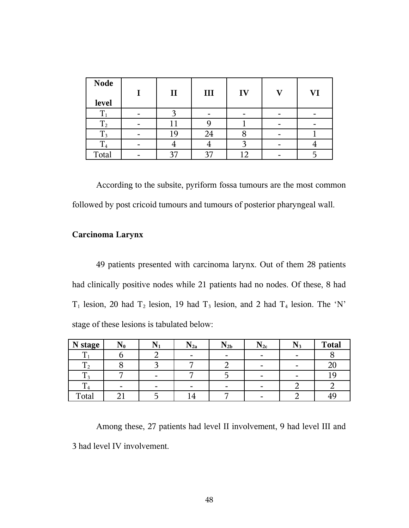| <b>Node</b>    | $\mathbf{I}$ | III | IV  | VI |
|----------------|--------------|-----|-----|----|
| level          |              |     |     |    |
| T <sub>1</sub> |              |     |     |    |
| $T_{2}$        | 11           |     |     |    |
| $\rm T_3$      | 19           | 24  |     |    |
| $T_4$          |              |     |     |    |
| Total          | 37           | 37  | 1 າ |    |

According to the subsite, pyriform fossa tumours are the most common followed by post cricoid tumours and tumours of posterior pharyngeal wall.

## **Carcinoma Larynx**

49 patients presented with carcinoma larynx. Out of them 28 patients had clinically positive nodes while 21 patients had no nodes. Of these, 8 had  $T_1$  lesion, 20 had  $T_2$  lesion, 19 had  $T_3$  lesion, and 2 had  $T_4$  lesion. The 'N' stage of these lesions is tabulated below:

| N stage   | $N_0$ | ⊥ ₹ ∣ | $N_{2a}$                 | $N_{2b}$ | $\rm N_{2c}$             | $N_3$                    | <b>Total</b> |
|-----------|-------|-------|--------------------------|----------|--------------------------|--------------------------|--------------|
|           |       |       | $\overline{\phantom{0}}$ |          | $\overline{\phantom{0}}$ | $\overline{\phantom{0}}$ |              |
| $\rm T_2$ |       |       |                          |          |                          | $\overline{\phantom{0}}$ | ∠∪           |
|           |       |       |                          |          |                          |                          |              |
| 14        |       |       | $\overline{\phantom{0}}$ | -        | $\overline{\phantom{0}}$ |                          |              |
| Total     |       |       |                          | –        |                          |                          | 49           |

Among these, 27 patients had level II involvement, 9 had level III and 3 had level IV involvement.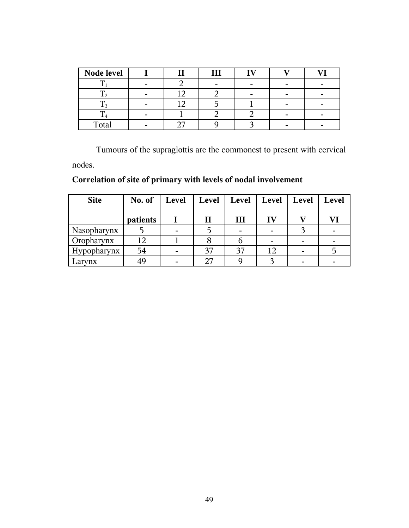| Node level |   | Ш |  |  |
|------------|---|---|--|--|
|            |   |   |  |  |
|            |   |   |  |  |
|            |   |   |  |  |
|            | - |   |  |  |
| Total      |   |   |  |  |

Tumours of the supraglottis are the commonest to present with cervical nodes.

**Correlation of site of primary with levels of nodal involvement** 

| <b>Site</b>       | No. of   | Level | <b>Level</b> | Level | Level | Level | Level |
|-------------------|----------|-------|--------------|-------|-------|-------|-------|
|                   | patients |       | П            | Ш     | IV    |       | Vl    |
| Nasopharynx       |          |       |              |       |       |       |       |
| <b>Oropharynx</b> | 12       |       |              |       |       |       |       |
| Hypopharynx       | 54       |       | 37           | 37    | 12    |       |       |
| Larynx            | 49       |       | 27           |       |       |       |       |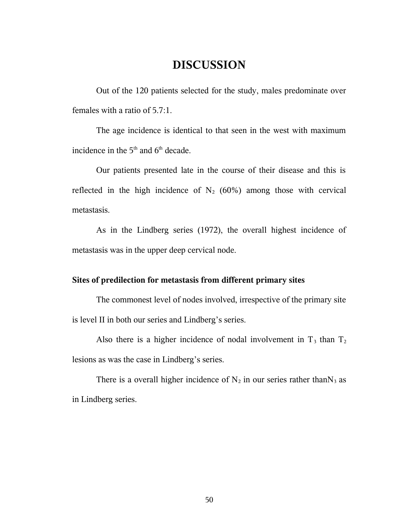# **DISCUSSION**

Out of the 120 patients selected for the study, males predominate over females with a ratio of 5.7:1.

The age incidence is identical to that seen in the west with maximum incidence in the  $5<sup>th</sup>$  and  $6<sup>th</sup>$  decade.

Our patients presented late in the course of their disease and this is reflected in the high incidence of  $N_2$  (60%) among those with cervical metastasis.

As in the Lindberg series (1972), the overall highest incidence of metastasis was in the upper deep cervical node.

## **Sites of predilection for metastasis from different primary sites**

The commonest level of nodes involved, irrespective of the primary site is level II in both our series and Lindberg's series.

Also there is a higher incidence of nodal involvement in  $T_3$  than  $T_2$ lesions as was the case in Lindberg's series.

There is a overall higher incidence of  $N_2$  in our series rather than  $N_3$  as in Lindberg series.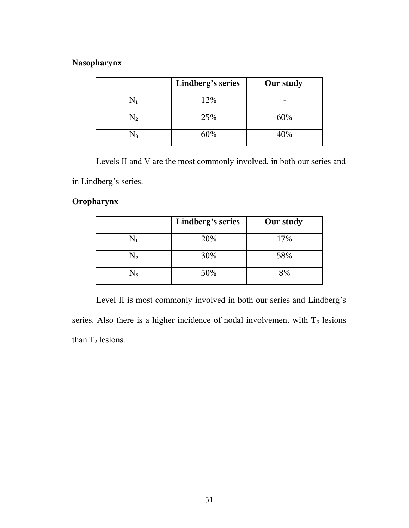## **Nasopharynx**

|           | Lindberg's series | Our study |
|-----------|-------------------|-----------|
| $\rm N_1$ | 12%               |           |
| $\rm N_2$ | 25%               | 60%       |
| $\rm N_3$ | 60%               | 40%       |

Levels II and V are the most commonly involved, in both our series and in Lindberg's series.

## **Oropharynx**

|                | Lindberg's series | Our study |
|----------------|-------------------|-----------|
|                | 20%               | 17%       |
| $\mathrm{N}_2$ | 30%               | 58%       |
|                | 50%               | 8%        |

Level II is most commonly involved in both our series and Lindberg's series. Also there is a higher incidence of nodal involvement with  $T_3$  lesions than  $T_2$  lesions.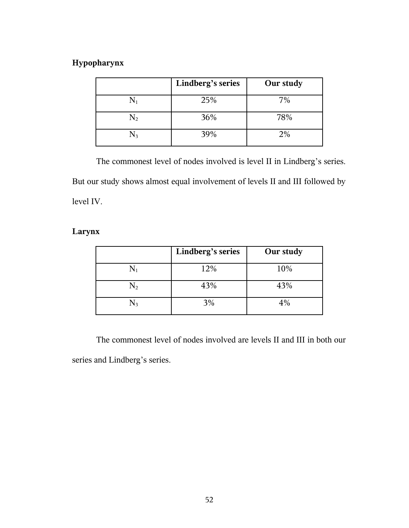## **Hypopharynx**

|                | Lindberg's series | Our study |
|----------------|-------------------|-----------|
| $\mathrm{N}_1$ | 25%               | 7%        |
| $\mathrm{N}_2$ | 36%               | 78%       |
| N3             | 39%               | 2%        |

The commonest level of nodes involved is level II in Lindberg's series. But our study shows almost equal involvement of levels II and III followed by level IV.

## **Larynx**

|                | Lindberg's series | Our study |
|----------------|-------------------|-----------|
| $\mathrm{N}_1$ | 12%               | 10%       |
| $\mathrm{N}_2$ | 43%               | 43%       |
| N3             | 3%                | 4%        |

The commonest level of nodes involved are levels II and III in both our series and Lindberg's series.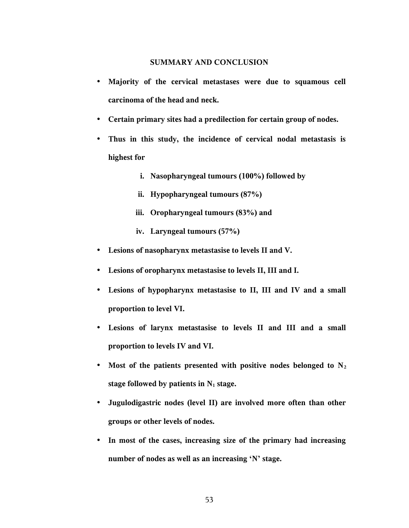#### **SUMMARY AND CONCLUSION**

- **Majority of the cervical metastases were due to squamous cell carcinoma of the head and neck.**
- **Certain primary sites had a predilection for certain group of nodes.**
- **Thus in this study, the incidence of cervical nodal metastasis is highest for** 
	- **i. Nasopharyngeal tumours (100%) followed by**
	- **ii. Hypopharyngeal tumours (87%)**
	- **iii. Oropharyngeal tumours (83%) and**
	- **iv. Laryngeal tumours (57%)**
- **Lesions of nasopharynx metastasise to levels II and V.**
- **Lesions of oropharynx metastasise to levels II, III and I.**
- **Lesions of hypopharynx metastasise to II, III and IV and a small proportion to level VI.**
- **Lesions of larynx metastasise to levels II and III and a small proportion to levels IV and VI.**
- **Most of the patients presented with positive nodes belonged to N<sup>2</sup> stage followed by patients in N1 stage.**
- **Jugulodigastric nodes (level II) are involved more often than other groups or other levels of nodes.**
- **In most of the cases, increasing size of the primary had increasing number of nodes as well as an increasing 'N' stage.**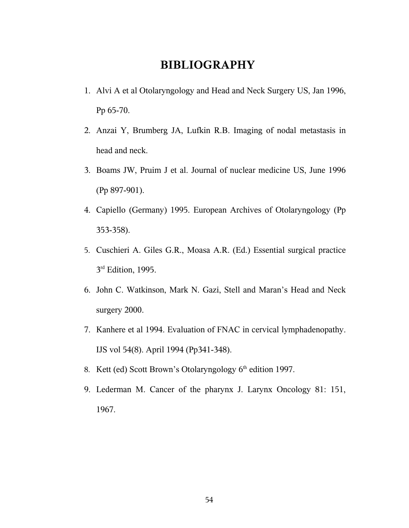# **BIBLIOGRAPHY**

- 1. Alvi A et al Otolaryngology and Head and Neck Surgery US, Jan 1996, Pp 65-70.
- 2. Anzai Y, Brumberg JA, Lufkin R.B. Imaging of nodal metastasis in head and neck.
- 3. Boams JW, Pruim J et al. Journal of nuclear medicine US, June 1996 (Pp 897-901).
- 4. Capiello (Germany) 1995. European Archives of Otolaryngology (Pp 353-358).
- 5. Cuschieri A. Giles G.R., Moasa A.R. (Ed.) Essential surgical practice 3<sup>rd</sup> Edition, 1995.
- 6. John C. Watkinson, Mark N. Gazi, Stell and Maran's Head and Neck surgery 2000.
- 7. Kanhere et al 1994. Evaluation of FNAC in cervical lymphadenopathy. IJS vol 54(8). April 1994 (Pp341-348).
- 8. Kett (ed) Scott Brown's Otolaryngology  $6<sup>th</sup>$  edition 1997.
- 9. Lederman M. Cancer of the pharynx J. Larynx Oncology 81: 151, 1967.